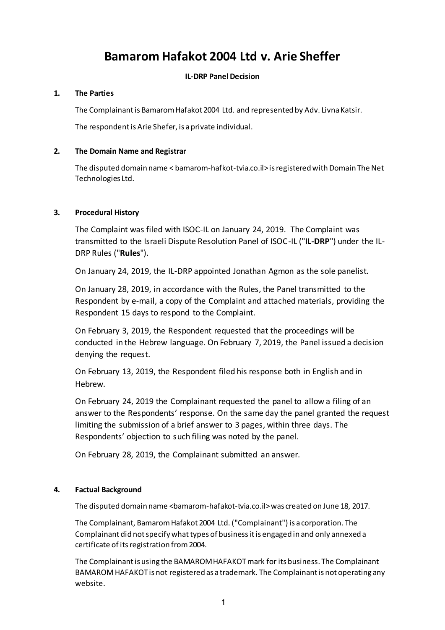# **Bamarom Hafakot 2004 Ltd v. Arie Sheffer**

# **IL-DRP Panel Decision**

## **1. The Parties**

The Complainant is Bamarom Hafakot 2004 Ltd. and represented by Adv. Livna Katsir.

The respondent is Arie Shefer, is a private individual.

## **2. The Domain Name and Registrar**

The disputed domain name < bamarom-hafkot-tvia.co.il> is registered with Domain The Net Technologies Ltd.

# **3. Procedural History**

The Complaint was filed with ISOC-IL on January 24, 2019. The Complaint was transmitted to the Israeli Dispute Resolution Panel of ISOC-IL ("**IL-DRP**") under the IL-DRP Rules ("**Rules**").

On January 24, 2019, the IL-DRP appointed Jonathan Agmon as the sole panelist.

On January 28, 2019, in accordance with the Rules, the Panel transmitted to the Respondent by e-mail, a copy of the Complaint and attached materials, providing the Respondent 15 days to respond to the Complaint.

On February 3, 2019, the Respondent requested that the proceedings will be conducted in the Hebrew language. On February 7, 2019, the Panel issued a decision denying the request.

On February 13, 2019, the Respondent filed his response both in English and in Hebrew.

On February 24, 2019 the Complainant requested the panel to allow a filing of an answer to the Respondents' response. On the same day the panel granted the request limiting the submission of a brief answer to 3 pages, within three days. The Respondents' objection to such filing was noted by the panel.

On February 28, 2019, the Complainant submitted an answer.

## **4. Factual Background**

The disputed domain name <br />bamarom-hafakot-tvia.co.il>was created on June 18, 2017.

The Complainant, Bamarom Hafakot 2004 Ltd. ("Complainant") is a corporation. The Complainant did not specify what types of business it is engaged in and only annexed a certificate of its registration from 2004.

The Complainant is using the BAMAROM HAFAKOTmark for its business. The Complainant BAMAROM HAFAKOT is not registered as a trademark. The Complainant is not operating any website.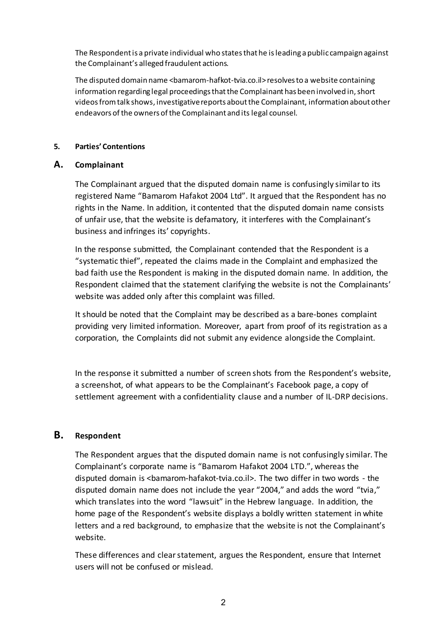The Respondent is a private individual who states that he is leading a public campaign against the Complainant's alleged fraudulent actions.

The disputed domain name <br />bamarom-hafkot-tvia.co.il> resolves to a website containing information regarding legal proceedings that the Complainant has been involved in, short videos from talk shows, investigative reports about the Complainant, information about other endeavors of the owners of the Complainant and its legal counsel.

## **5. Parties' Contentions**

# **A. Complainant**

The Complainant argued that the disputed domain name is confusingly similar to its registered Name "Bamarom Hafakot 2004 Ltd". It argued that the Respondent has no rights in the Name. In addition, it contented that the disputed domain name consists of unfair use, that the website is defamatory, it interferes with the Complainant's business and infringes its' copyrights.

In the response submitted, the Complainant contended that the Respondent is a "systematic thief", repeated the claims made in the Complaint and emphasized the bad faith use the Respondent is making in the disputed domain name. In addition, the Respondent claimed that the statement clarifying the website is not the Complainants' website was added only after this complaint was filled.

It should be noted that the Complaint may be described as a bare-bones complaint providing very limited information. Moreover, apart from proof of its registration as a corporation, the Complaints did not submit any evidence alongside the Complaint.

In the response it submitted a number of screen shots from the Respondent's website, a screenshot, of what appears to be the Complainant's Facebook page, a copy of settlement agreement with a confidentiality clause and a number of IL-DRP decisions.

# **B. Respondent**

The Respondent argues that the disputed domain name is not confusingly similar. The Complainant's corporate name is "Bamarom Hafakot 2004 LTD.", whereas the disputed domain is <bamarom-hafakot-tvia.co.il>. The two differ in two words - the disputed domain name does not include the year "2004," and adds the word "tvia," which translates into the word "lawsuit" in the Hebrew language. In addition, the home page of the Respondent's website displays a boldly written statement in white letters and a red background, to emphasize that the website is not the Complainant's website.

These differences and clear statement, argues the Respondent, ensure that Internet users will not be confused or mislead.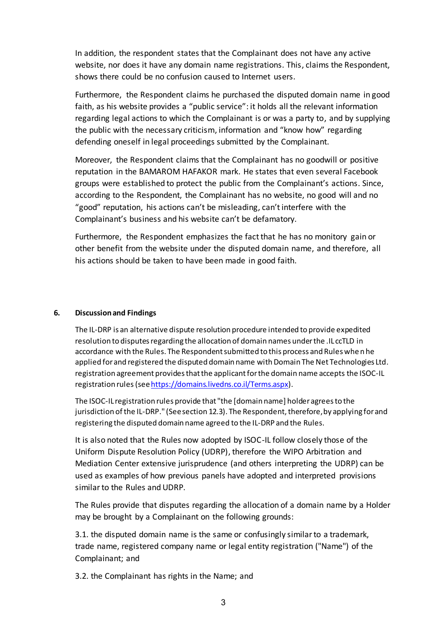In addition, the respondent states that the Complainant does not have any active website, nor does it have any domain name registrations. This, claims the Respondent, shows there could be no confusion caused to Internet users.

Furthermore, the Respondent claims he purchased the disputed domain name in good faith, as his website provides a "public service": it holds all the relevant information regarding legal actions to which the Complainant is or was a party to, and by supplying the public with the necessary criticism, information and "know how" regarding defending oneself in legal proceedings submitted by the Complainant.

Moreover, the Respondent claims that the Complainant has no goodwill or positive reputation in the BAMAROM HAFAKOR mark. He states that even several Facebook groups were established to protect the public from the Complainant's actions. Since, according to the Respondent, the Complainant has no website, no good will and no "good" reputation, his actions can't be misleading, can't interfere with the Complainant's business and his website can't be defamatory.

Furthermore, the Respondent emphasizes the fact that he has no monitory gain or other benefit from the website under the disputed domain name, and therefore, all his actions should be taken to have been made in good faith.

## **6. Discussion and Findings**

The IL-DRP is an alternative dispute resolution procedure intended to provide expedited resolution to disputes regarding the allocation of domain names under the .IL ccTLD in accordance with the Rules. The Respondent submitted to this process and Rules when he applied for and registered the disputed domain name with Domain The Net Technologies Ltd. registration agreement provides that the applicant for the domain name accepts the ISOC-IL registration rules (see https://domains.livedns.co.il/Terms.aspx).

The ISOC-IL registration rules provide that "the [domain name] holder agrees to the jurisdiction of the IL-DRP." (See section 12.3). The Respondent, therefore, by applying for and registering the disputed domain name agreed to the IL-DRP and the Rules.

It is also noted that the Rules now adopted by ISOC-IL follow closely those of the Uniform Dispute Resolution Policy (UDRP), therefore the WIPO Arbitration and Mediation Center extensive jurisprudence (and others interpreting the UDRP) can be used as examples of how previous panels have adopted and interpreted provisions similarto the Rules and UDRP.

The Rules provide that disputes regarding the allocation of a domain name by a Holder may be brought by a Complainant on the following grounds:

3.1. the disputed domain name is the same or confusingly similar to a trademark, trade name, registered company name or legal entity registration ("Name") of the Complainant; and

3.2. the Complainant has rights in the Name; and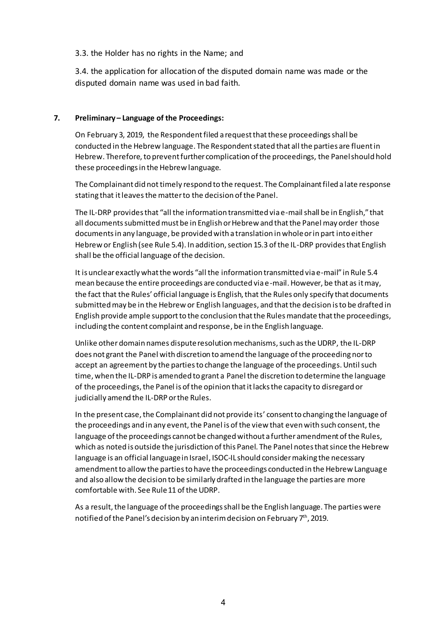## 3.3. the Holder has no rights in the Name; and

3.4. the application for allocation of the disputed domain name was made or the disputed domain name was used in bad faith.

## **7. Preliminary – Language of the Proceedings:**

On February 3, 2019, the Respondent filed a request that these proceedings shall be conducted in the Hebrew language. The Respondent stated that all the parties are fluent in Hebrew. Therefore, to prevent further complication of the proceedings, the Panel should hold these proceedings in the Hebrew language.

The Complainant did not timely respond to the request. The Complainant filed a late response stating that it leaves the matterto the decision of the Panel.

The IL-DRP provides that "all the information transmitted via e-mail shall be in English," that all documents submitted must be in English or Hebrew and that the Panel may order those documents in any language, be provided with a translation in whole or in part into either Hebrew or English (see Rule 5.4). In addition, section 15.3 of the IL-DRP provides that English shall be the official language of the decision.

It is unclear exactly what the words "all the information transmitted via e-mail" in Rule 5.4 mean because the entire proceedings are conducted via e-mail. However, be that as it may, the fact that the Rules' official language is English, that the Rules only specify that documents submitted may be in the Hebrew or English languages, and thatthe decision is to be drafted in English provide ample support to the conclusion that the Rules mandate that the proceedings, including the content complaint and response, be in the English language.

Unlike other domain names dispute resolution mechanisms, such as the UDRP, the IL-DRP does not grant the Panel with discretion to amend the language of the proceeding nor to accept an agreement by the parties to change the language of the proceedings. Until such time, when the IL-DRP is amended to grant a Panel the discretion to determine the language of the proceedings, the Panel is of the opinion that it lacks the capacity to disregard or judicially amend the IL-DRP or the Rules.

In the present case, the Complainant did not provide its' consent to changing the language of the proceedings and in any event, the Panel is of the view that even with such consent, the language of the proceedings cannot be changed without a further amendment of the Rules, which as noted is outside the jurisdiction of this Panel. The Panel notes that since the Hebrew language is an official language in Israel, ISOC-IL should consider making the necessary amendment to allow the parties to have the proceedings conducted in the Hebrew Language and also allow the decision to be similarly drafted in the language the parties are more comfortable with. See Rule 11 of the UDRP.

As a result, the language of the proceedings shall be the English language. The parties were notified of the Panel's decision by an interim decision on February 7th, 2019.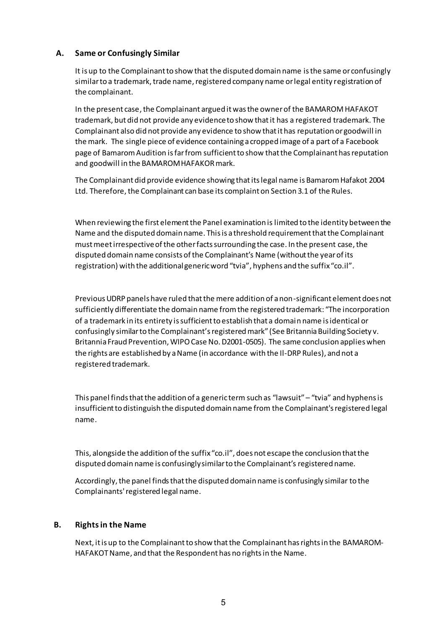# **A. Same or Confusingly Similar**

It is up to the Complainant to show that the disputed domain name isthe same or confusingly similar to a trademark, trade name, registered company name or legal entity registration of the complainant.

In the present case, the Complainant argued it was the owner of the BAMAROM HAFAKOT trademark, but did not provide any evidence to show that it has a registered trademark. The Complainant also did not provide any evidence to show that it has reputation or goodwill in the mark. The single piece of evidence containing a cropped image of a part of a Facebook page of Bamarom Audition is far from sufficient to show that the Complainant has reputation and goodwill in the BAMAROM HAFAKOR mark.

The Complainant did provide evidence showing that its legal name is Bamarom Hafakot 2004 Ltd. Therefore, the Complainant can base its complaint on Section 3.1 of the Rules.

When reviewing the first element the Panel examination is limited to the identity between the Name and the disputed domain name. This is a threshold requirement that the Complainant must meet irrespective of the other facts surrounding the case. In the present case, the disputed domain name consists of the Complainant's Name (without the year of its registration) with the additional generic word "tvia", hyphens and the suffix "co.il".

Previous UDRP panels have ruled that the mere addition of a non-significant element does not sufficiently differentiate the domain name from the registered trademark: "The incorporation of a trademark in its entirety is sufficient to establish that a domain name is identical or confusingly similar to the Complainant's registered mark" (See Britannia Building Society v. Britannia Fraud Prevention, WIPO Case No. D2001-0505). The same conclusion applies when the rights are established by a Name (in accordance with the Il-DRP Rules), and not a registered trademark.

This panel finds that the addition of a generic term such as "lawsuit" – "tvia" and hyphens is insufficient to distinguish the disputed domain name from the Complainant's registered legal name.

This, alongside the addition of the suffix "co.il", does not escape the conclusion that the disputed domain name is confusingly similar to the Complainant's registered name.

Accordingly, the panel finds that the disputed domain name is confusingly similar to the Complainants' registered legal name.

## **B. Rights in the Name**

Next, it is up to the Complainant to show that the Complainant has rights in the BAMAROM-HAFAKOT Name, and that the Respondent has no rights in the Name.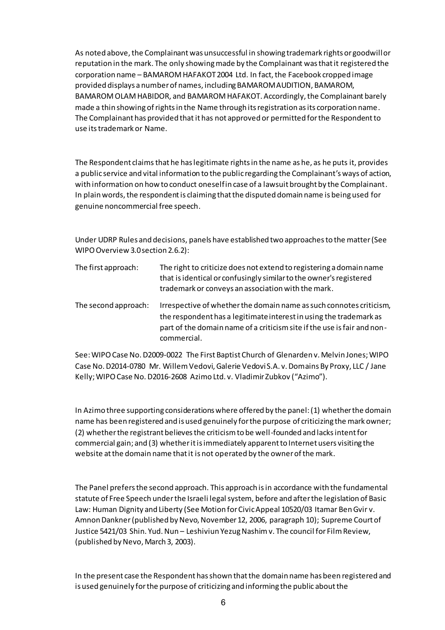As noted above, the Complainant was unsuccessful in showing trademark rights or goodwill or reputation in the mark. The only showing made by the Complainant was that it registered the corporation name – BAMAROM HAFAKOT 2004 Ltd. In fact, the Facebook cropped image provided displays a number of names, including BAMAROM AUDITION, BAMAROM, BAMAROM OLAM HABIDOR, and BAMAROM HAFAKOT. Accordingly, the Complainant barely made a thin showing of rights in the Name through its registration as its corporation name. The Complainant has provided that it has not approved or permitted for the Respondent to use its trademark or Name.

The Respondent claims that he has legitimate rights in the name as he, as he puts it, provides a public service and vital information to the public regarding the Complainant'sways of action, with information on how to conduct oneself in case of a lawsuit brought by the Complainant. In plain words, the respondent is claiming that the disputed domain name is being used for genuine noncommercial free speech.

Under UDRP Rules and decisions, panels have established two approaches to the matter (See WIPO Overview 3.0 section 2.6.2):

| The first approach:  | The right to criticize does not extend to registering a domain name<br>that is identical or confusingly similar to the owner's registered<br>trademark or conveys an association with the mark.                                     |
|----------------------|-------------------------------------------------------------------------------------------------------------------------------------------------------------------------------------------------------------------------------------|
| The second approach: | Irrespective of whether the domain name as such connotes criticism,<br>the respondent has a legitimate interest in using the trademark as<br>part of the domain name of a criticism site if the use is fair and non-<br>commercial. |

See: WIPO Case No. D2009-0022 The First Baptist Church of Glenarden v. Melvin Jones; WIPO Case No. D2014-0780 Mr. Willem Vedovi, Galerie Vedovi S.A. v. Domains By Proxy, LLC / Jane Kelly; WIPO Case No. D2016-2608 Azimo Ltd. v. Vladimir Zubkov ("Azimo").

In Azimo three supporting considerations where offered by the panel: (1) whether the domain name has been registered and is used genuinely for the purpose of criticizing the mark owner; (2) whether the registrant believes the criticism to be well-founded and lacks intent for commercial gain; and (3) whether it is immediately apparent to Internet users visiting the website at the domain name that it is not operated by the owner of the mark.

The Panel prefers the second approach. This approach is in accordance with the fundamental statute of Free Speech underthe Israeli legal system, before and after the legislation of Basic Law: Human Dignity and Liberty (See Motion for Civic Appeal 10520/03 Itamar Ben Gvir v. Amnon Dankner(published by Nevo, November 12, 2006, paragraph 10); Supreme Court of Justice 5421/03 Shin. Yud. Nun – Leshiviun Yezug Nashim v. The council for Film Review, (published by Nevo, March 3, 2003).

In the present case the Respondent has shown that the domain name has been registered and is used genuinely for the purpose of criticizing and informing the public about the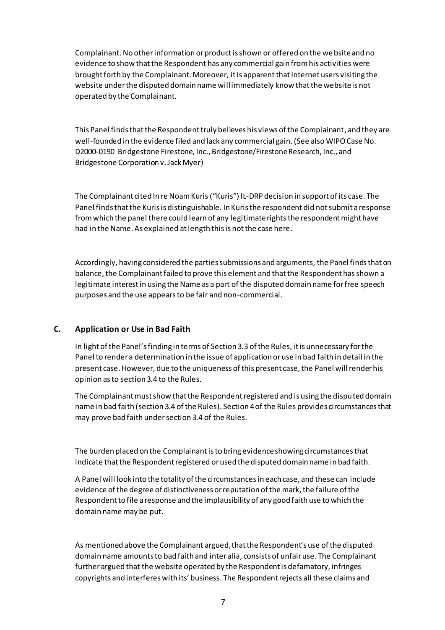Complainant. No other information or product is shown or offered on the websiteand no evidence to show that the Respondent has any commercial gain from his activities were brought forth by the Complainant. Moreover, it is apparent that Internet users visiting the website under the disputed domain name will immediately know thatthe website is not operated by the Complainant.

This Panel findsthat the Respondent truly believes his views of the Complainant, and they are well-founded in the evidence filed and lack any commercial gain.(See also WIPO Case No. D2000-0190 Bridgestone Firestone, Inc., Bridgestone/Firestone Research, Inc., and Bridgestone Corporation v. Jack Myer)

The Complainant cited In re Noam Kuris ("Kuris") IL-DRP decision in support of its case. The Panel finds that the Kuris is distinguishable. In Kuris the respondent did not submit a response from which the panel there could learn of any legitimate rights the respondent might have had in the Name. As explained atlength this is not the case here.

Accordingly, having considered the parties submissions and arguments, the Panel finds that on balance, the Complainant failed to prove this element and that the Respondent has shown a legitimate interest in using the Name as a part of the disputed domain name for free speech purposes and the use appears to be fair and non-commercial.

## **C. Application or Use in Bad Faith**

In light of the Panel's finding in terms of Section 3.3 of the Rules, it is unnecessary for the Panel to render a determination in the issue of application oruse in bad faith in detail in the present case. However, due to the uniqueness of this present case, the Panel will render his opinion as to section 3.4 to the Rules.

The Complainant must show that the Respondent registered and is using the disputed domain name in bad faith (section 3.4 of the Rules). Section 4 of the Rules provides circumstances that may prove bad faith under section 3.4 of the Rules.

The burden placed on the Complainant is to bring evidence showing circumstances that indicate that the Respondent registered orused the disputed domain name in bad faith.

A Panel will look into the totality of the circumstances in each case, and these can include evidence of the degree of distinctiveness or reputation of the mark, the failure of the Respondent to file a response and the implausibility of any good faith use to which the domain name may be put.

As mentioned above the Complainant argued,that the Respondent's use of the disputed domain name amounts to bad faith and inter alia, consists of unfair use. The Complainant further argued that the website operated by the Respondent is defamatory, infringes copyrights and interferes with its' business. The Respondent rejects all these claims and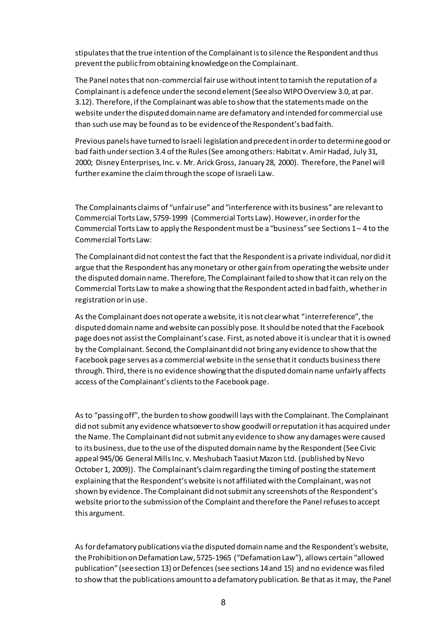stipulates that the true intention of the Complainant is to silence the Respondent and thus prevent the public from obtaining knowledge on the Complainant.

The Panel notes that non-commercial fair use without intent to tarnish the reputation of a Complainant is a defence under the second element (See also WIPO Overview 3.0, at par. 3.12). Therefore, if the Complainant was able to show that the statements made on the website under the disputed domain name are defamatory and intended for commercial use than such use may be found as to be evidence of the Respondent's bad faith.

Previous panels have turned to Israeli legislation and precedent in order to determine good or bad faith under section 3.4 of the Rules (See among others: Habitat v. Amir Hadad, July 31, 2000; Disney Enterprises, Inc. v. Mr. Arick Gross, January 28, 2000). Therefore, the Panel will further examine the claim through the scope of Israeli Law.

The Complainants claims of "unfair use" and "interference with its business"are relevant to Commercial Torts Law, 5759-1999 (Commercial Torts Law). However, in order for the Commercial Torts Law to apply the Respondent must be a "business" see Sections 1 – 4 to the Commercial Torts Law:

The Complainant did not contestthe fact that the Respondent is a private individual, nordid it argue that the Respondent has any monetary or other gain from operating the website under the disputed domain name. Therefore, The Complainant failed to show that it can rely on the Commercial Torts Law to make a showing that the Respondent acted in bad faith, whetherin registration or in use.

As the Complainant does not operate a website, it is not clear what "interreference", the disputed domain name and website can possibly pose. It should be noted that the Facebook page does not assist the Complainant's case. First, as noted above it is unclear that it is owned by the Complainant. Second, the Complainant did not bring any evidence to show that the Facebook page serves as a commercial website in the sense that it conducts business there through. Third, there is no evidence showing thatthe disputed domain name unfairly affects access of the Complainant's clients to the Facebook page.

As to "passing off", the burden to show goodwill lays with the Complainant. The Complainant did not submit any evidence whatsoever to show goodwill or reputation it has acquired under the Name. The Complainant did not submit any evidence to show any damages were caused to its business, due to the use of the disputed domain name by the Respondent (See Civic appeal 945/06 General Mills Inc. v. Meshubach Taasiut Mazon Ltd. (published by Nevo October 1, 2009)). The Complainant's claim regarding the timing of posting the statement explaining that the Respondent's website is not affiliated with the Complainant, was not shown by evidence. The Complainant did not submit any screenshots of the Respondent's website prior to the submission of the Complaint and therefore the Panel refuses to accept this argument.

As for defamatory publications via the disputed domain name and the Respondent's website, the Prohibition on Defamation Law, 5725-1965 ("Defamation Law"), allows certain "allowed publication" (see section 13) or Defences (see sections 14 and 15) and no evidence was filed to show that the publications amount to a defamatory publication. Be that as it may, the Panel